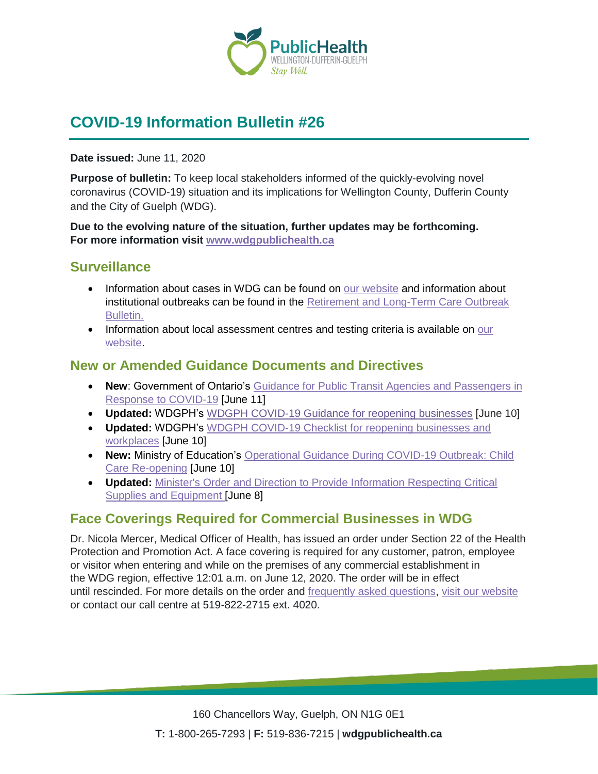

# **COVID-19 Information Bulletin #26**

**Date issued:** June 11, 2020

**Purpose of bulletin:** To keep local stakeholders informed of the quickly-evolving novel coronavirus (COVID-19) situation and its implications for Wellington County, Dufferin County and the City of Guelph (WDG).

**Due to the evolving nature of the situation, further updates may be forthcoming. For more information visit [www.wdgpublichealth.ca](http://www.wdgpublichealth.ca/)**

## **Surveillance**

- Information about cases in WDG can be found on [our website](https://wdgpublichealth.ca/your-health/covid-19-information-public/status-cases-wdg) and information about institutional outbreaks can be found in the [Retirement and Long-Term Care Outbreak](https://wdgpublichealth.ca/node/1542)  [Bulletin.](https://wdgpublichealth.ca/node/1542)
- Information about local assessment centres and testing criteria is available on our [website.](https://www.wdgpublichealth.ca/your-health/covid-19-information-public/assessment-centres-wdg)

## **New or Amended Guidance Documents and Directives**

- **New**: Government of Ontario's [Guidance for Public Transit Agencies and Passengers in](https://www.ontario.ca/page/guidance-public-transit-agencies-and-passengers-response-covid-19?_ga=2.66940649.656120176.1591817518-1123331746.1579028832)  [Response to COVID-19](https://www.ontario.ca/page/guidance-public-transit-agencies-and-passengers-response-covid-19?_ga=2.66940649.656120176.1591817518-1123331746.1579028832) [June 11]
- **Updated:** WDGPH's WDGPH [COVID-19 Guidance for reopening businesses](https://www.wdgpublichealth.ca/sites/default/files/covid-19_guidance_for_reopening_businesses_june_10_2020.pdf) [June 10]
- **Updated:** WDGPH's WDGPH [COVID-19 Checklist for reopening businesses and](https://www.wdgpublichealth.ca/sites/default/files/covid-19_checklist_for_reopening_businesses_june_10_2020_0.pdf)  [workplaces](https://www.wdgpublichealth.ca/sites/default/files/covid-19_checklist_for_reopening_businesses_june_10_2020_0.pdf) [June 10]
- **New:** Ministry of Education's [Operational Guidance During COVID-19 Outbreak: Child](http://www.edu.gov.on.ca/childcare/child-care-re-opening-operational-guidance.pdf)  [Care Re-opening](http://www.edu.gov.on.ca/childcare/child-care-re-opening-operational-guidance.pdf) [June 10]
- **Updated:** [Minister's Order and Direction to Provide Information Respecting Critical](http://www.health.gov.on.ca/en/pro/programs/publichealth/coronavirus/docs/orders/minister)  [Supplies and Equipment](http://www.health.gov.on.ca/en/pro/programs/publichealth/coronavirus/docs/orders/minister) [June 8]

## **Face Coverings Required for Commercial Businesses in WDG**

Dr. Nicola Mercer, Medical Officer of Health, has issued an order under Section 22 of the Health Protection and Promotion Act. A face covering is required for any customer, patron, employee or visitor when entering and while on the premises of any commercial establishment in the WDG region, effective 12:01 a.m. on June 12, 2020. The order will be in effect until rescinded. For more details on the order and [frequently asked questions](https://www.wdgpublichealth.ca/your-health/covid-19-information-public/face-coverings-class-order-and-faqs), [visit our website](https://www.wdgpublichealth.ca/alerts/dr-nicola-mercer-has-issued-order-under-section-22-health-protection-and-promotion-act) or contact our call centre at 519-822-2715 ext. 4020.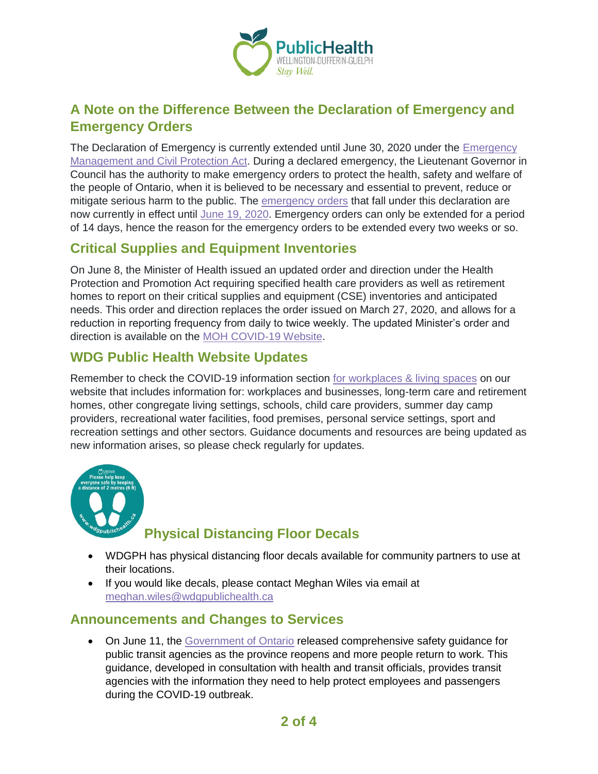

## **A Note on the Difference Between the Declaration of Emergency and Emergency Orders**

The Declaration of Emergency is currently extended until June 30, 2020 under the [Emergency](https://www.ontario.ca/laws/statute/90e09#BK5)  [Management and Civil Protection Act.](https://www.ontario.ca/laws/statute/90e09#BK5) During a declared emergency, the Lieutenant Governor in Council has the authority to make emergency orders to protect the health, safety and welfare of the people of Ontario, when it is believed to be necessary and essential to prevent, reduce or mitigate serious harm to the public. The [emergency orders](https://www.ontario.ca/page/emergency-information?_ga=2.113397895.1499373585.1589204859-1123331746.1579028832) that fall under this declaration are now currently in effect until June [19, 2020.](https://www.ontario.ca/laws/regulation/200106) Emergency orders can only be extended for a period of 14 days, hence the reason for the emergency orders to be extended every two weeks or so.

## **Critical Supplies and Equipment Inventories**

On June 8, the Minister of Health issued an updated order and direction under the Health Protection and Promotion Act requiring specified health care providers as well as retirement homes to report on their critical supplies and equipment (CSE) inventories and anticipated needs. This order and direction replaces the order issued on March 27, 2020, and allows for a reduction in reporting frequency from daily to twice weekly. The updated Minister's order and direction is available on the [MOH COVID-19 Website.](http://www.health.gov.on.ca/en/pro/programs/publichealth/coronavirus/dir_mem_res.aspx)

## **WDG Public Health Website Updates**

Remember to check the COVID-19 information section [for workplaces & living spaces](https://www.wdgpublichealth.ca/your-health/covid-19-information-workplaces-and-living-spaces/workplaces-and-businesses) on our website that includes information for: workplaces and businesses, long-term care and retirement homes, other congregate living settings, schools, child care providers, summer day camp providers, recreational water facilities, food premises, personal service settings, sport and recreation settings and other sectors. Guidance documents and resources are being updated as new information arises, so please check regularly for updates.



## **Physical Distancing Floor Decals**

- WDGPH has physical distancing floor decals available for community partners to use at their locations.
- If you would like decals, please contact Meghan Wiles via email at [meghan.wiles@wdgpublichealth.ca](https://wdgpublichealth.sharepoint.com/sites/IMS-NovelCoronavirus/Shared%20Documents/General/Communications/COVID-19/Stakeholders/COVID-19%20Information%20Bulletin/Bulletin%2018/meghan.wiles@wdgpublichealth.ca)

## **Announcements and Changes to Services**

• On June 11, the [Government of Ontario](https://www.news.ontario.ca/mto/en/2020/06/ontario-introduces-public-transit-safety-guidance.html) released comprehensive safety guidance for public transit agencies as the province reopens and more people return to work. This guidance, developed in consultation with health and transit officials, provides transit agencies with the information they need to help protect employees and passengers during the COVID-19 outbreak.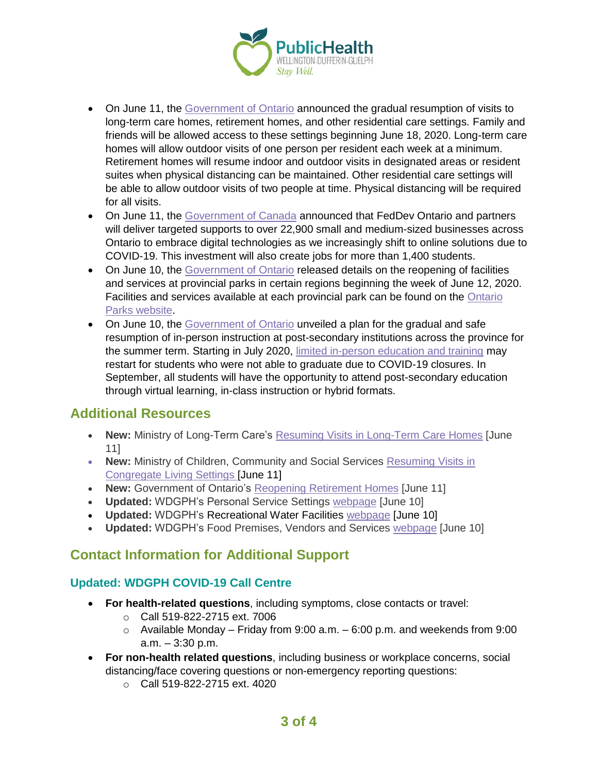

- On June 11, the [Government of Ontario](https://www.news.ontario.ca/opo/en/2020/06/ontario-to-resume-family-visits-in-long-term-care-homes-retirement-homes-and-other-residential-care.html) announced the gradual resumption of visits to long-term care homes, retirement homes, and other residential care settings. Family and friends will be allowed access to these settings beginning June 18, 2020. Long-term care homes will allow outdoor visits of one person per resident each week at a minimum. Retirement homes will resume indoor and outdoor visits in designated areas or resident suites when physical distancing can be maintained. Other residential care settings will be able to allow outdoor visits of two people at time. Physical distancing will be required for all visits.
- On June 11, the [Government of Canada](https://www.canada.ca/en/economic-development-southern-ontario/news/2020/06/feddev-ontario-and-partners-to-support-nearly-23000-ontario-businesses-to-go-digital.html) announced that FedDev Ontario and partners will deliver targeted supports to over 22,900 small and medium-sized businesses across Ontario to embrace digital technologies as we increasingly shift to online solutions due to COVID-19. This investment will also create jobs for more than 1,400 students.
- On June 10, the [Government of Ontario](https://news.ontario.ca/ene/en/2020/06/beaches-and-campsites-to-open-at-ontario-parks.html) released details on the reopening of facilities and services at provincial parks in certain regions beginning the week of June 12, 2020. Facilities and services available at each provincial park can be found on the [Ontario](http://www.ontarioparks.com/en)  [Parks website.](http://www.ontarioparks.com/en)
- On June 10, the [Government of Ontario](https://news.ontario.ca/opo/en/2020/06/ontario-unveils-a-plan-to-reopen-postsecondary-education.html) unveiled a plan for the gradual and safe resumption of in-person instruction at post-secondary institutions across the province for the summer term. Starting in July 2020, [limited in-person education and training](https://news.ontario.ca/opo/en/2020/06/a-path-forward-for-advanced-education-research-and-science-in-ontario.html) may restart for students who were not able to graduate due to COVID-19 closures. In September, all students will have the opportunity to attend post-secondary education through virtual learning, in-class instruction or hybrid formats.

## **Additional Resources**

- **New:** Ministry of Long-Term Care's [Resuming Visits in Long-Term Care Homes](http://health.gov.on.ca/en/pro/programs/ltc/docs/covid-19/mltc_resuming_ltc_home_visits_20200611.pdf) [June 11]
- **New:** Ministry of Children, Community and Social Services [Resuming Visits in](http://www.children.gov.on.ca/docs/MCCSS-Congregate-Living-Settings-EN.pdf)  [Congregate Living Settings](http://www.children.gov.on.ca/docs/MCCSS-Congregate-Living-Settings-EN.pdf) [June 11]
- **New:** Government of Ontario's [Reopening Retirement Homes](https://files.ontario.ca/msaa-reopening-retirement-homes-en-2020-06-11.pdf?_ga=2.132828489.656120176.1591817518-1123331746.1579028832) [June 11]
- **Updated:** WDGPH's Personal Service Settings [webpage](https://www.wdgpublichealth.ca/your-health/covid-19-information-workplaces-and-living-spaces/personal-service-settings) [June 10]
- **Updated:** WDGPH's Recreational Water Facilities [webpage](https://www.wdgpublichealth.ca/your-health/covid-19-information-workplaces-and-living-spaces/recreational-water-facilities) [June 10]
- **Updated:** WDGPH's Food Premises, Vendors and Services [webpage](https://www.wdgpublichealth.ca/your-health/covid-19-information-workplaces-and-living-spaces/food-premises-vendors-and-services) [June 10]

## **Contact Information for Additional Support**

#### **Updated: WDGPH COVID-19 Call Centre**

- **For health-related questions**, including symptoms, close contacts or travel:
	- o Call 519-822-2715 ext. 7006
	- $\circ$  Available Monday Friday from 9:00 a.m. 6:00 p.m. and weekends from 9:00 a.m. – 3:30 p.m.
- **For non-health related questions**, including business or workplace concerns, social distancing/face covering questions or non-emergency reporting questions:
	- o Call 519-822-2715 ext. 4020